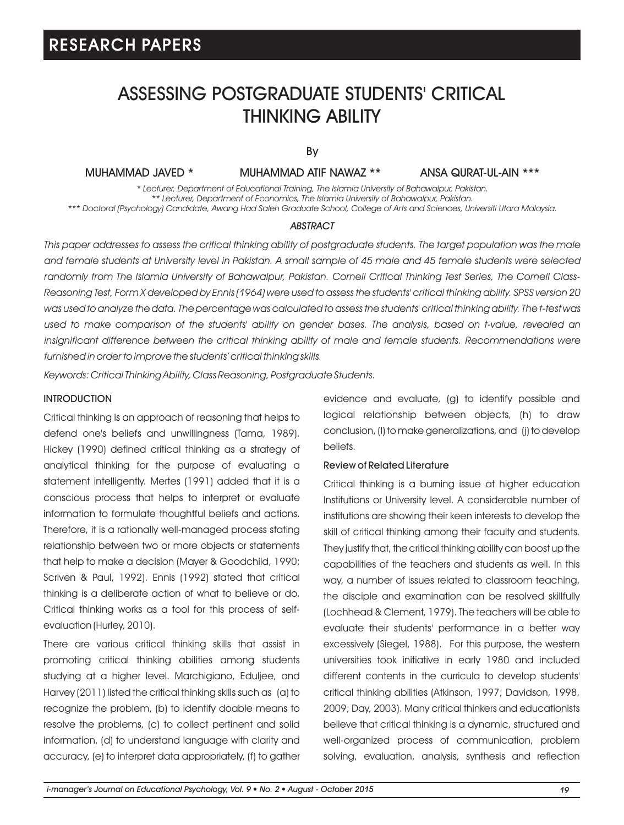### ASSESSING POSTGRADUATE STUDENTS' CRITICAL THINKING ABILITY

By

MUHAMMAD JAVED \* MUHAMMAD ATIF NAWAZ \*\* ANSA QURAT-UL-AIN \*\*\*

*\* Lecturer, Department of Educational Training, The Islamia University of Bahawalpur, Pakistan. \*\* Lecturer, Department of Economics, The Islamia University of Bahawalpur, Pakistan. \*\*\* Doctoral (Psychology) Candidate, Awang Had Saleh Graduate School, College of Arts and Sciences, Universiti Utara Malaysia.*

#### *ABSTRACT*

*This paper addresses to assess the critical thinking ability of postgraduate students. The target population was the male and female students at University level in Pakistan. A small sample of 45 male and 45 female students were selected randomly from The Islamia University of Bahawalpur, Pakistan. Cornell Critical Thinking Test Series, The Cornell Class-Reasoning Test, Form X developed by Ennis (1964) were used to assess the students' critical thinking ability. SPSS version 20 was used to analyze the data. The percentage was calculated to assess the students' critical thinking ability. The t-test was used to make comparison of the students' ability on gender bases. The analysis, based on t-value, revealed an*  insignificant difference between the critical thinking ability of male and female students. Recommendations were *furnished in order to improve the students' critical thinking skills.*

*Keywords: Critical Thinking Ability, Class Reasoning, Postgraduate Students.*

#### INTRODUCTION

Critical thinking is an approach of reasoning that helps to defend one's beliefs and unwillingness (Tama, 1989). Hickey (1990) defined critical thinking as a strategy of analytical thinking for the purpose of evaluating a statement intelligently. Mertes (1991) added that it is a conscious process that helps to interpret or evaluate information to formulate thoughtful beliefs and actions. Therefore, it is a rationally well-managed process stating relationship between two or more objects or statements that help to make a decision (Mayer & Goodchild, 1990; Scriven & Paul, 1992). Ennis (1992) stated that critical thinking is a deliberate action of what to believe or do. Critical thinking works as a tool for this process of selfevaluation (Hurley, 2010).

There are various critical thinking skills that assist in promoting critical thinking abilities among students studying at a higher level. Marchigiano, Eduljee, and Harvey (2011) listed the critical thinking skills such as (a) to recognize the problem, (b) to identify doable means to resolve the problems, (c) to collect pertinent and solid information, (d) to understand language with clarity and accuracy, (e) to interpret data appropriately, (f) to gather evidence and evaluate, (g) to identify possible and logical relationship between objects, (h) to draw conclusion, (I) to make generalizations, and (j) to develop beliefs.

#### Review of Related Literature

Critical thinking is a burning issue at higher education Institutions or University level. A considerable number of institutions are showing their keen interests to develop the skill of critical thinking among their faculty and students. They justify that, the critical thinking ability can boost up the capabilities of the teachers and students as well. In this way, a number of issues related to classroom teaching, the disciple and examination can be resolved skillfully (Lochhead & Clement, 1979). The teachers will be able to evaluate their students' performance in a better way excessively (Siegel, 1988). For this purpose, the western universities took initiative in early 1980 and included different contents in the curricula to develop students' critical thinking abilities (Atkinson, 1997; Davidson, 1998, 2009; Day, 2003). Many critical thinkers and educationists believe that critical thinking is a dynamic, structured and well-organized process of communication, problem solving, evaluation, analysis, synthesis and reflection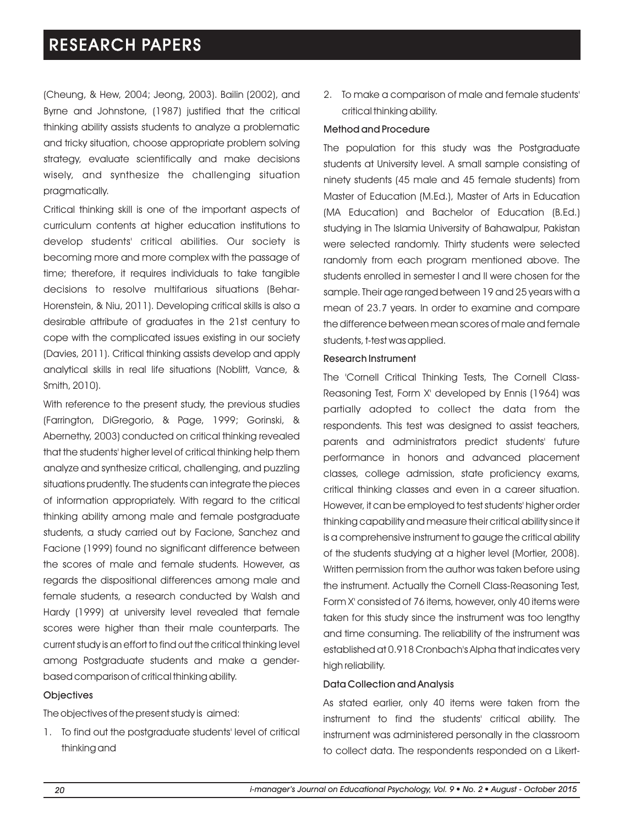(Cheung, & Hew, 2004; Jeong, 2003). Bailin (2002), and Byrne and Johnstone, (1987) justified that the critical thinking ability assists students to analyze a problematic and tricky situation, choose appropriate problem solving strategy, evaluate scientifically and make decisions wisely, and synthesize the challenging situation pragmatically.

Critical thinking skill is one of the important aspects of curriculum contents at higher education institutions to develop students' critical abilities. Our society is becoming more and more complex with the passage of time; therefore, it requires individuals to take tangible decisions to resolve multifarious situations (Behar-Horenstein, & Niu, 2011). Developing critical skills is also a desirable attribute of graduates in the 21st century to cope with the complicated issues existing in our society (Davies, 2011). Critical thinking assists develop and apply analytical skills in real life situations (Noblitt, Vance, & Smith, 2010).

With reference to the present study, the previous studies (Farrington, DiGregorio, & Page, 1999; Gorinski, & Abernethy, 2003) conducted on critical thinking revealed that the students' higher level of critical thinking help them analyze and synthesize critical, challenging, and puzzling situations prudently. The students can integrate the pieces of information appropriately. With regard to the critical thinking ability among male and female postgraduate students, a study carried out by Facione, Sanchez and Facione (1999) found no significant difference between the scores of male and female students. However, as regards the dispositional differences among male and female students, a research conducted by Walsh and Hardy (1999) at university level revealed that female scores were higher than their male counterparts. The current study is an effort to find out the critical thinking level among Postgraduate students and make a genderbased comparison of critical thinking ability.

#### **Objectives**

The objectives of the present study is aimed:

1. To find out the postgraduate students' level of critical thinking and

2. To make a comparison of male and female students' critical thinking ability.

#### Method and Procedure

The population for this study was the Postgraduate students at University level. A small sample consisting of ninety students (45 male and 45 female students) from Master of Education (M.Ed.), Master of Arts in Education (MA Education) and Bachelor of Education (B.Ed.) studying in The Islamia University of Bahawalpur, Pakistan were selected randomly. Thirty students were selected randomly from each program mentioned above. The students enrolled in semester I and II were chosen for the sample. Their age ranged between 19 and 25 years with a mean of 23.7 years. In order to examine and compare the difference between mean scores of male and female students, t-test was applied.

#### Research Instrument

The 'Cornell Critical Thinking Tests, The Cornell Class-Reasoning Test, Form X' developed by Ennis (1964) was partially adopted to collect the data from the respondents. This test was designed to assist teachers, parents and administrators predict students' future performance in honors and advanced placement classes, college admission, state proficiency exams, critical thinking classes and even in a career situation. However, it can be employed to test students' higher order thinking capability and measure their critical ability since it is a comprehensive instrument to gauge the critical ability of the students studying at a higher level (Mortier, 2008). Written permission from the author was taken before using the instrument. Actually the Cornell Class-Reasoning Test, Form X' consisted of 76 items, however, only 40 items were taken for this study since the instrument was too lengthy and time consuming. The reliability of the instrument was established at 0.918 Cronbach's Alpha that indicates very high reliability.

#### Data Collection and Analysis

As stated earlier, only 40 items were taken from the instrument to find the students' critical ability. The instrument was administered personally in the classroom to collect data. The respondents responded on a Likert-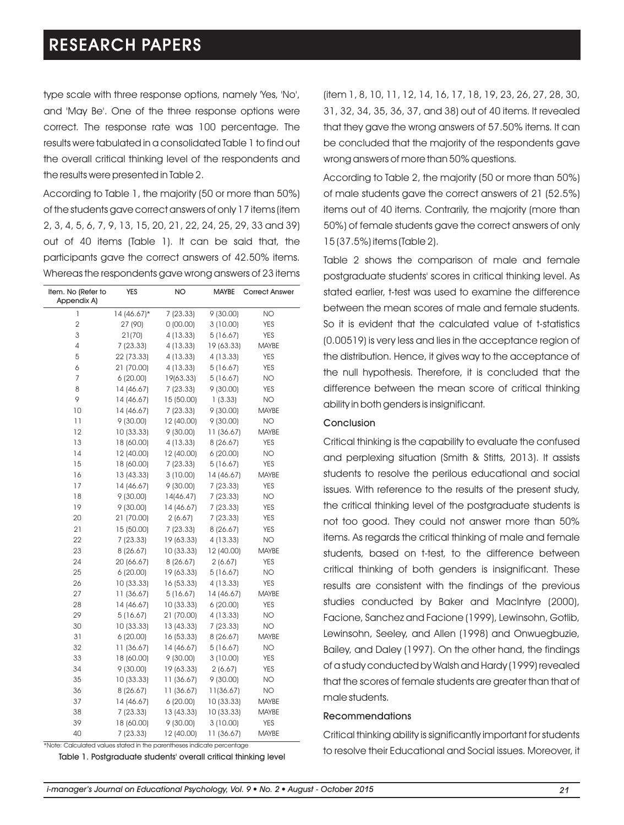type scale with three response options, namely 'Yes, 'No', and 'May Be'. One of the three response options were correct. The response rate was 100 percentage. The results were tabulated in a consolidated Table 1 to find out the overall critical thinking level of the respondents and the results were presented in Table 2.

According to Table 1, the majority (50 or more than 50%) of the students gave correct answers of only 17 items (item 2, 3, 4, 5, 6, 7, 9, 13, 15, 20, 21, 22, 24, 25, 29, 33 and 39) out of 40 items (Table 1). It can be said that, the participants gave the correct answers of 42.50% items. Whereas the respondents gave wrong answers of 23 items

| Item. No (Refer to | YES           | <b>MAYBE</b><br>NO |            | <b>Correct Answer</b> |
|--------------------|---------------|--------------------|------------|-----------------------|
| Appendix A)        |               |                    |            |                       |
| 1                  | $14(46.67)$ * | 7(23.33)           | 9(30.00)   | <b>NO</b>             |
| 2                  | 27 (90)       | 0(00.00)           | 3(10.00)   | <b>YES</b>            |
| 3                  | 21(70)        | 4 (13.33)          | 5(16.67)   | <b>YES</b>            |
| 4                  | 7(23.33)      | 4 (13.33)          | 19 (63.33) | <b>MAYBE</b>          |
| 5                  | 22 (73.33)    | 4 (13.33)          | 4 (13.33)  | <b>YES</b>            |
| 6                  | 21 (70.00)    | 4 (13.33)          | 5(16.67)   | <b>YES</b>            |
| 7                  | 6(20.00)      | 19(63.33)          | 5(16.67)   | <b>NO</b>             |
| 8                  | 14 (46.67)    | 7(23.33)           | 9(30.00)   | <b>YES</b>            |
| 9                  | 14 (46.67)    | 15 (50.00)         | 1(3.33)    | <b>NO</b>             |
| 10                 | 14 (46.67)    | 7(23.33)           | 9(30.00)   | <b>MAYBE</b>          |
| 11                 | 9(30.00)      | 12 (40.00)         | 9 (30.00)  | <b>NO</b>             |
| 12                 | 10 (33.33)    | 9(30.00)           | 11 (36.67) | <b>MAYBE</b>          |
| 13                 | 18 (60.00)    | 4 (13.33)          | 8 (26.67)  | YES                   |
| 14                 | 12 (40.00)    | 12 (40.00)         | 6(20.00)   | <b>NO</b>             |
| 15                 | 18 (60.00)    | 7(23.33)           | 5(16.67)   | <b>YES</b>            |
| 16                 | 13 (43.33)    | 3(10.00)           | 14 (46.67) | MAYBE                 |
| 17                 | 14 (46.67)    | 9(30.00)           | 7 (23.33)  | <b>YES</b>            |
| 18                 | 9(30.00)      | 14(46.47)          | 7(23.33)   | <b>NO</b>             |
| 19                 | 9(30.00)      | 14 (46.67)         | 7(23.33)   | <b>YES</b>            |
| 20                 | 21 (70.00)    | 2(6.67)            | 7(23.33)   | YES                   |
| 21                 | 15 (50.00)    | 7(23.33)           | 8 (26.67)  | YES                   |
| 22                 | 7(23.33)      | 19 (63.33)         | 4 (13.33)  | ΝO                    |
| 23                 | 8 (26.67)     | 10 (33.33)         | 12 (40.00) | MAYBE                 |
| 24                 | 20 (66.67)    | 8 (26.67)          | 2(6.67)    | YES                   |
| 25                 | 6(20.00)      | 19 (63.33)         | 5 (16.67)  | ΝO                    |
| 26                 | 10 (33.33)    | 16 (53.33)         | 4 (13.33)  | <b>YES</b>            |
| 27                 | 11 (36.67)    | 5(16.67)           | 14 (46.67) | <b>MAYBE</b>          |
| 28                 | 14 (46.67)    | 10 (33.33)         | 6(20.00)   | <b>YES</b>            |
| 29                 | 5(16.67)      | 21 (70.00)         | 4 (13.33)  | <b>NO</b>             |
| 30                 | 10 (33.33)    | 13 (43.33)         | 7(23.33)   | <b>NO</b>             |
| 31                 | 6(20.00)      | 16 (53.33)         | 8 (26.67)  | <b>MAYBE</b>          |
| 32                 | 11 (36.67)    | 14 (46.67)         | 5(16.67)   | <b>NO</b>             |
| 33                 | 18 (60.00)    | 9(30.00)           | 3 (10.00)  | <b>YES</b>            |
| 34                 | 9(30.00)      | 19 (63.33)         | 2(6.67)    | <b>YES</b>            |
| 35                 | 10 (33.33)    | 11 (36.67)         | 9(30.00)   | <b>NO</b>             |
| 36                 | 8 (26.67)     | 11 (36.67)         | 11(36.67)  | <b>NO</b>             |
| 37                 | 14 (46.67)    | 6(20.00)           | 10 (33.33) | <b>MAYBE</b>          |
| 38                 | 7(23.33)      | 13 (43.33)         | 10 (33.33) | <b>MAYBE</b>          |
| 39                 | 18 (60.00)    | 9(30.00)           | 3(10.00)   | <b>YES</b>            |
| 40                 | 7(23.33)      | 12 (40.00)         | 11 (36.67) | <b>MAYBE</b>          |

\*Note: Calculated values stated in the parentheses indicate percentage

Table 1. Postgraduate students' overall critical thinking level

(item 1, 8, 10, 11, 12, 14, 16, 17, 18, 19, 23, 26, 27, 28, 30, 31, 32, 34, 35, 36, 37, and 38) out of 40 items. It revealed that they gave the wrong answers of 57.50% items. It can be concluded that the majority of the respondents gave wrong answers of more than 50% questions.

According to Table 2, the majority (50 or more than 50%) of male students gave the correct answers of 21 (52.5%) items out of 40 items. Contrarily, the majority (more than 50%) of female students gave the correct answers of only 15 (37.5%) items (Table 2).

Table 2 shows the comparison of male and female postgraduate students' scores in critical thinking level. As stated earlier, t-test was used to examine the difference between the mean scores of male and female students. So it is evident that the calculated value of t-statistics (0.00519) is very less and lies in the acceptance region of the distribution. Hence, it gives way to the acceptance of the null hypothesis. Therefore, it is concluded that the difference between the mean score of critical thinking ability in both genders is insignificant.

#### Conclusion

Critical thinking is the capability to evaluate the confused and perplexing situation (Smith & Stitts, 2013). It assists students to resolve the perilous educational and social issues. With reference to the results of the present study, the critical thinking level of the postgraduate students is not too good. They could not answer more than 50% items. As regards the critical thinking of male and female students, based on t-test, to the difference between critical thinking of both genders is insignificant. These results are consistent with the findings of the previous studies conducted by Baker and MacIntyre (2000), Facione, Sanchez and Facione (1999), Lewinsohn, Gotlib, Lewinsohn, Seeley, and Allen (1998) and Onwuegbuzie, Bailey, and Daley (1997). On the other hand, the findings of a study conducted by Walsh and Hardy (1999) revealed that the scores of female students are greater than that of male students.

#### Recommendations

Critical thinking ability is significantly important for students to resolve their Educational and Social issues. Moreover, it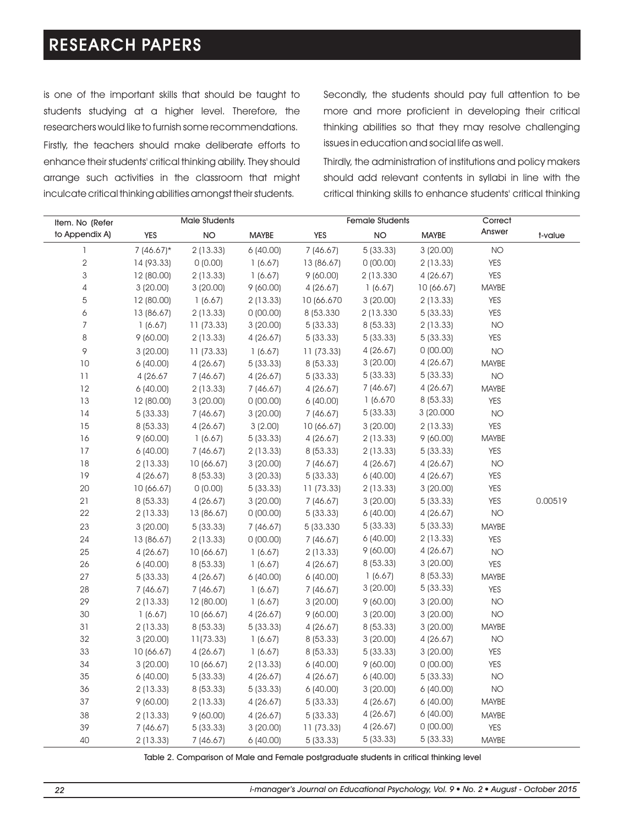is one of the important skills that should be taught to students studying at a higher level. Therefore, the researchers would like to furnish some recommendations. Firstly, the teachers should make deliberate efforts to enhance their students' critical thinking ability. They should arrange such activities in the classroom that might inculcate critical thinking abilities amongst their students.

Secondly, the students should pay full attention to be more and more proficient in developing their critical thinking abilities so that they may resolve challenging issues in education and social life as well.

Thirdly, the administration of institutions and policy makers should add relevant contents in syllabi in line with the critical thinking skills to enhance students' critical thinking

| Item. No (Refer |              | <b>Male Students</b> |              |            | <b>Female Students</b> |              | Correct      |         |
|-----------------|--------------|----------------------|--------------|------------|------------------------|--------------|--------------|---------|
| to Appendix A)  | YES          | <b>NO</b>            | <b>MAYBE</b> | <b>YES</b> | <b>NO</b>              | <b>MAYBE</b> | Answer       | t-value |
| 1               | $7(46.67)$ * | 2 (13.33)            | 6(40.00)     | 7 (46.67)  | 5(33.33)               | 3(20.00)     | <b>NO</b>    |         |
| $\overline{2}$  | 14 (93.33)   | 0(0.00)              | 1(6.67)      | 13 (86.67) | 0(00.00)               | 2(13.33)     | YES          |         |
| 3               | 12 (80.00)   | 2 (13.33)            | 1(6.67)      | 9(60.00)   | 2 (13.330)             | 4(26.67)     | YES          |         |
| 4               | 3(20.00)     | 3(20.00)             | 9(60.00)     | 4 (26.67)  | 1(6.67)                | 10 (66.67)   | MAYBE        |         |
| 5               | 12 (80.00)   | 1(6.67)              | 2(13.33)     | 10 (66.670 | 3(20.00)               | 2(13.33)     | <b>YES</b>   |         |
| 6               | 13 (86.67)   | 2(13.33)             | 0(00.00)     | 8 (53.330) | 2 (13.330)             | 5(33.33)     | <b>YES</b>   |         |
| 7               | 1(6.67)      | 11(73.33)            | 3(20.00)     | 5(33.33)   | 8 (53.33)              | 2(13.33)     | <b>NO</b>    |         |
| 8               | 9(60.00)     | 2(13.33)             | 4 (26.67)    | 5(33.33)   | 5(33.33)               | 5(33.33)     | <b>YES</b>   |         |
| 9               | 3(20.00)     | 11 (73.33)           | 1(6.67)      | 11 (73.33) | 4(26.67)               | 0(00.00)     | <b>NO</b>    |         |
| $10$            | 6(40.00)     | 4(26.67)             | 5(33.33)     | 8 (53.33)  | 3(20.00)               | 4(26.67)     | <b>MAYBE</b> |         |
| 11              | 4 (26.67)    | 7(46.67)             | 4 (26.67)    | 5(33.33)   | 5(33.33)               | 5(33.33)     | <b>NO</b>    |         |
| 12              | 6(40.00)     | 2(13.33)             | 7(46.67)     | 4(26.67)   | 7 (46.67)              | 4(26.67)     | <b>MAYBE</b> |         |
| 13              | 12 (80.00)   | 3(20.00)             | 0(00.00)     | 6(40.00)   | 1(6.670)               | 8(53.33)     | <b>YES</b>   |         |
| 14              | 5(33.33)     | 7(46.67)             | 3(20.00)     | 7(46.67)   | 5(33.33)               | 3 (20.000    | <b>NO</b>    |         |
| 15              | 8(53.33)     | 4 (26.67)            | 3(2.00)      | 10(66.67)  | 3(20.00)               | 2(13.33)     | <b>YES</b>   |         |
| 16              | 9(60.00)     | 1(6.67)              | 5(33.33)     | 4(26.67)   | 2(13.33)               | 9(60.00)     | <b>MAYBE</b> |         |
| 17              | 6(40.00)     | 7(46.67)             | 2(13.33)     | 8 (53.33)  | 2(13.33)               | 5(33.33)     | <b>YES</b>   |         |
| 18              | 2(13.33)     | 10 (66.67)           | 3(20.00)     | 7 (46.67)  | 4(26.67)               | 4(26.67)     | <b>NO</b>    |         |
| 19              | 4(26.67)     | 8 (53.33)            | 3(20.33)     | 5(33.33)   | 6(40.00)               | 4(26.67)     | <b>YES</b>   |         |
| 20              | 10 (66.67)   | 0(0.00)              | 5(33.33)     | 11 (73.33) | 2(13.33)               | 3(20.00)     | YES          |         |
| 21              | 8 (53.33)    | 4 (26.67)            | 3(20.00)     | 7 (46.67)  | 3(20.00)               | 5(33.33)     | YES          | 0.00519 |
| 22              | 2(13.33)     | 13 (86.67)           | 0(00.00)     | 5(33.33)   | 6(40.00)               | 4(26.67)     | <b>NO</b>    |         |
| 23              | 3(20.00)     | 5(33.33)             | 7(46.67)     | 5 (33.330) | 5(33.33)               | 5(33.33)     | <b>MAYBE</b> |         |
| 24              | 13 (86.67)   | 2(13.33)             | 0(00.00)     | 7 (46.67)  | 6(40.00)               | 2(13.33)     | <b>YES</b>   |         |
| 25              | 4(26.67)     | 10 (66.67)           | 1(6.67)      | 2(13.33)   | 9(60.00)               | 4(26.67)     | <b>NO</b>    |         |
| 26              | 6(40.00)     | 8 (53.33)            | 1(6.67)      | 4 (26.67)  | 8 (53.33)              | 3(20.00)     | <b>YES</b>   |         |
| 27              | 5(33.33)     | 4(26.67)             | 6(40.00)     | 6(40.00)   | 1(6.67)                | 8(53.33)     | MAYBE        |         |
| 28              | 7(46.67)     | 7(46.67)             | 1(6.67)      | 7(46.67)   | 3(20.00)               | 5(33.33)     | <b>YES</b>   |         |
| 29              | 2(13.33)     | 12 (80.00)           | 1(6.67)      | 3(20.00)   | 9(60.00)               | 3(20.00)     | <b>NO</b>    |         |
| 30              | 1(6.67)      | 10(66.67)            | 4(26.67)     | 9(60.00)   | 3(20.00)               | 3(20.00)     | <b>NO</b>    |         |
| 31              | 2(13.33)     | 8 (53.33)            | 5(33.33)     | 4(26.67)   | 8 (53.33)              | 3(20.00)     | MAYBE        |         |
| 32              | 3(20.00)     | 11(73.33)            | 1(6.67)      | 8 (53.33)  | 3(20.00)               | 4(26.67)     | <b>NO</b>    |         |
| 33              | 10 (66.67)   | 4(26.67)             | 1(6.67)      | 8 (53.33)  | 5(33.33)               | 3(20.00)     | <b>YES</b>   |         |
| 34              | 3(20.00)     | 10 (66.67)           | 2(13.33)     | 6(40.00)   | 9(60.00)               | 0(00.00)     | <b>YES</b>   |         |
| 35              | 6(40.00)     | 5(33.33)             | 4 (26.67)    | 4(26.67)   | 6(40.00)               | 5(33.33)     | <b>NO</b>    |         |
| 36              | 2(13.33)     | 8 (53.33)            | 5(33.33)     | 6(40.00)   | 3(20.00)               | 6(40.00)     | <b>NO</b>    |         |
| 37              | 9(60.00)     | 2(13.33)             | 4 (26.67)    | 5(33.33)   | 4 (26.67)              | 6(40.00)     | MAYBE        |         |
| 38              | 2(13.33)     | 9(60.00)             | 4(26.67)     | 5(33.33)   | 4 (26.67)              | 6(40.00)     | <b>MAYBE</b> |         |
| 39              | 7(46.67)     | 5(33.33)             | 3(20.00)     | 11 (73.33) | 4(26.67)               | 0(00.00)     | <b>YES</b>   |         |
| 40              | 2(13.33)     | 7(46.67)             | 6(40.00)     | 5(33.33)   | 5(33.33)               | 5(33.33)     | <b>MAYBE</b> |         |

Table 2. Comparison of Male and Female postgraduate students in critical thinking level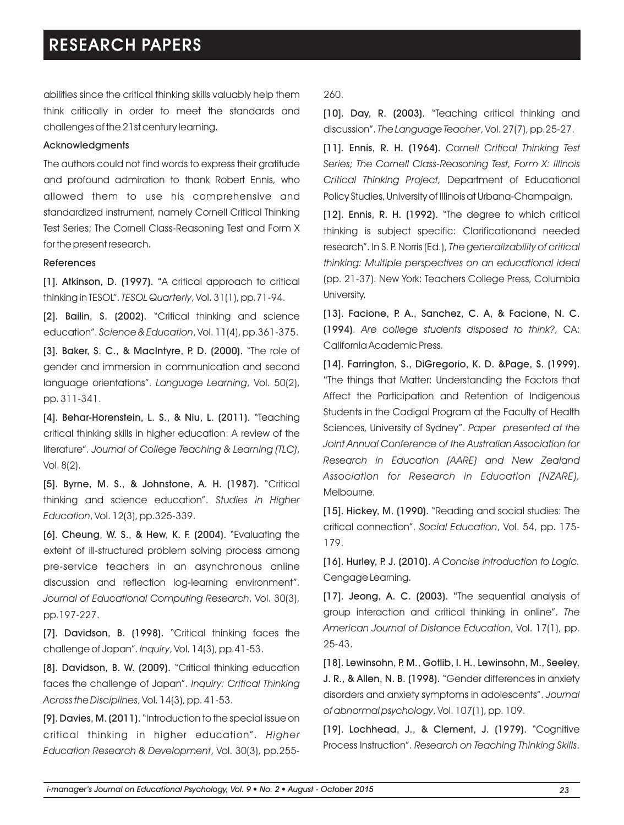abilities since the critical thinking skills valuably help them think critically in order to meet the standards and challenges of the 21st century learning.

#### Acknowledgments

The authors could not find words to express their gratitude and profound admiration to thank Robert Ennis, who allowed them to use his comprehensive and standardized instrument, namely Cornell Critical Thinking Test Series; The Cornell Class-Reasoning Test and Form X for the present research.

#### References

[1]. Atkinson, D. (1997). "A critical approach to critical thinking in TESOL". *TESOL Quarterly*, Vol. 31(1), pp.71-94.

[2]. Bailin, S. (2002). "Critical thinking and science education". *Science & Education*, Vol. 11(4), pp.361-375.

[3]. Baker, S. C., & MacIntyre, P. D. (2000). "The role of gender and immersion in communication and second language orientations". *Language Learning*, Vol. 50(2), pp. 311-341.

[4]. Behar-Horenstein, L. S., & Niu, L. (2011). "Teaching critical thinking skills in higher education: A review of the literature". *Journal of College Teaching & Learning (TLC)*, Vol. 8(2).

[5]. Byrne, M. S., & Johnstone, A. H. (1987). "Critical thinking and science education". *Studies in Higher Education*, Vol. 12(3), pp.325-339.

[6]. Cheung, W. S., & Hew, K. F. (2004). "Evaluating the extent of ill-structured problem solving process among pre-service teachers in an asynchronous online discussion and reflection log-learning environment". *Journal of Educational Computing Research*, Vol. 30(3), pp.197-227.

[7]. Davidson, B. (1998). "Critical thinking faces the challenge of Japan". *Inquiry*, Vol. 14(3), pp.41-53.

[8]. Davidson, B. W. (2009). "Critical thinking education faces the challenge of Japan". *Inquiry: Critical Thinking Across the Disciplines*, Vol. 14(3), pp. 41-53.

[9]. Davies, M. (2011). "Introduction to the special issue on critical thinking in higher education". *Higher Education Research & Development*, Vol. 30(3), pp.255260.

[10]. Day, R. (2003). "Teaching critical thinking and discussion". *The Language Teacher*, Vol. 27(7), pp.25-27.

[11]. Ennis, R. H. (1964). *Cornell Critical Thinking Test Series; The Cornell Class-Reasoning Test, Form X: Illinois Critical Thinking Project,* Department of Educational Policy Studies, University of Illinois at Urbana-Champaign.

[12]. Ennis, R. H. (1992). "The degree to which critical thinking is subject specific: Clarificationand needed research". In S. P. Norris (Ed.), *The generalizability of critical thinking: Multiple perspectives on an educational ideal* (pp. 21-37). New York: Teachers College Press, Columbia University.

[13]. Facione, P. A., Sanchez, C. A, & Facione, N. C. (1994). *Are college students disposed to think?*, CA: California Academic Press.

[14]. Farrington, S., DiGregorio, K. D. &Page, S. (1999). "The things that Matter: Understanding the Factors that Affect the Participation and Retention of Indigenous Students in the Cadigal Program at the Faculty of Health Sciences, University of Sydney". *Paper presented at the Joint Annual Conference of the Australian Association for Research in Education (AARE) and New Zealand Association for Research in Education (NZARE),* Melbourne.

[15]. Hickey, M. (1990). "Reading and social studies: The critical connection". *Social Education*, Vol. 54, pp. 175- 179.

[16]. Hurley, P. J. (2010). *A Concise Introduction to Logic.* Cengage Learning.

[17]. **Jeong, A. C. (2003).** "The sequential analysis of group interaction and critical thinking in online". *The American Journal of Distance Education*, Vol. 17(1), pp. 25-43.

[18]. Lewinsohn, P. M., Gotlib, I. H., Lewinsohn, M., Seeley, J. R., & Allen, N. B. (1998). "Gender differences in anxiety disorders and anxiety symptoms in adolescents". *Journal of abnormal psychology*, Vol. 107(1), pp. 109.

[19]. Lochhead, J., & Clement, J. (1979). "Cognitive Process Instruction". *Research on Teaching Thinking Skills*.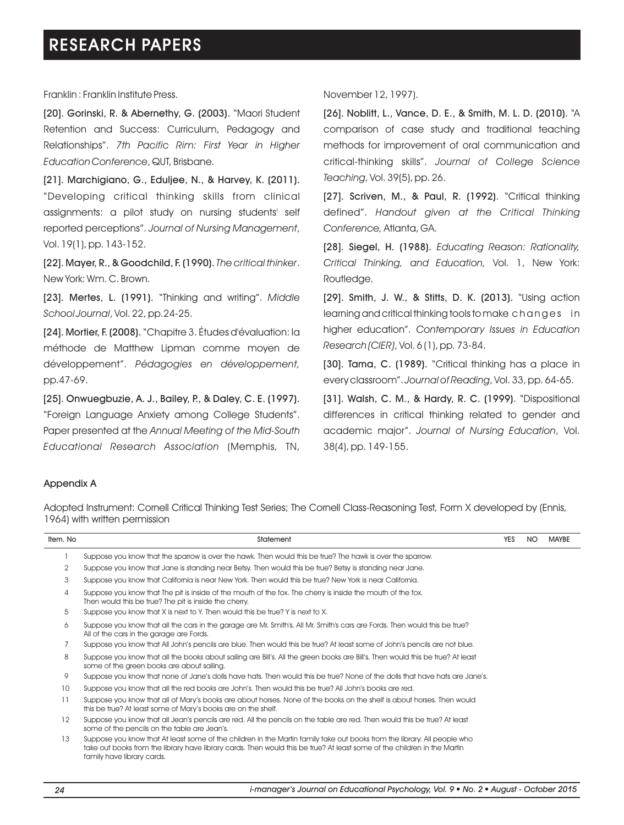Franklin : Franklin Institute Press.

[20]. Gorinski, R. & Abernethy, G. (2003). "Maori Student Retention and Success: Curriculum, Pedagogy and Relationships". *7th Pacific Rim: First Year in Higher Education Conference*, QUT, Brisbane.

[21]. Marchigiano, G., Eduljee, N., & Harvey, K. (2011). "Developing critical thinking skills from clinical assignments: a pilot study on nursing students' self reported perceptions". *Journal of Nursing Management*, Vol. 19(1), pp. 143-152.

[22]. Mayer, R., & Goodchild, F. (1990).*The critical thinker*. New York: Wm. C. Brown.

[23]. Mertes, L. (1991). "Thinking and writing". *Middle School Journal*, Vol. 22, pp.24-25.

[24]. Mortier, F. (2008). "Chapitre 3. Études d'évaluation: la méthode de Matthew Lipman comme moyen de développement". *Pédagogies en développement,* pp.47-69.

[25]. Onwuegbuzie, A. J., Bailey, P., & Daley, C. E. (1997). "Foreign Language Anxiety among College Students". Paper presented at the *Annual Meeting of the Mid-South Educational Research Association* (Memphis, TN, November 12, 1997).

[26]. Noblitt, L., Vance, D. E., & Smith, M. L. D. (2010). "A comparison of case study and traditional teaching methods for improvement of oral communication and critical-thinking skills". *Journal of College Science Teaching*, Vol. 39(5), pp. 26.

[27]. Scriven, M., & Paul, R. (1992). "Critical thinking defined". *Handout given at the Critical Thinking Conference,* Atlanta, GA.

[28]. Siegel, H. (1988). *Educating Reason: Rationality, Critical Thinking, and Education,* Vol. 1, New York: Routledge.

[29]. Smith, J. W., & Stitts, D. K. (2013). "Using action learning and critical thinking tools to make changes in higher education". *Contemporary Issues in Education Research (CIER)*, Vol. 6 (1), pp. 73-84.

[30]. Tama, C. (1989). "Critical thinking has a place in every classroom". *Journal of Reading*, Vol. 33, pp. 64-65.

[31]. Walsh, C. M., & Hardy, R. C. (1999). "Dispositional differences in critical thinking related to gender and academic major". *Journal of Nursing Education*, Vol. 38(4), pp. 149-155.

#### Appendix A

Adopted Instrument: Cornell Critical Thinking Test Series; The Cornell Class-Reasoning Test, Form X developed by (Ennis, 1964) with written permission

| Item. No       | Statement                                                                                                                                                                                                                                                                          |  | NO. | <b>MAYBE</b> |
|----------------|------------------------------------------------------------------------------------------------------------------------------------------------------------------------------------------------------------------------------------------------------------------------------------|--|-----|--------------|
|                | Suppose you know that the sparrow is over the hawk. Then would this be true? The hawk is over the sparrow.                                                                                                                                                                         |  |     |              |
| $\overline{2}$ | Suppose you know that Jane is standing near Betsy. Then would this be true? Betsy is standing near Jane.                                                                                                                                                                           |  |     |              |
| 3              | Suppose you know that California is near New York. Then would this be true? New York is near California.                                                                                                                                                                           |  |     |              |
| 4              | Suppose you know that The pit is inside of the mouth of the fox. The cherry is inside the mouth of the fox.<br>Then would this be true? The pit is inside the cherry.                                                                                                              |  |     |              |
| 5              | Suppose you know that X is next to Y. Then would this be true? Y is next to X.                                                                                                                                                                                                     |  |     |              |
| 6              | Suppose you know that all the cars in the garage are Mr. Smith's. All Mr. Smith's cars are Fords. Then would this be true?<br>All of the cars in the garage are Fords.                                                                                                             |  |     |              |
|                | Suppose you know that All John's pencils are blue. Then would this be true? At least some of John's pencils are not blue.                                                                                                                                                          |  |     |              |
| 8              | Suppose you know that all the books about sailing are Bill's. All the green books are Bill's. Then would this be true? At least<br>some of the green books are about sailing.                                                                                                      |  |     |              |
| 9              | Suppose you know that none of Jane's dolls have hats. Then would this be true? None of the dolls that have hats are Jane's.                                                                                                                                                        |  |     |              |
| 10             | Suppose you know that all the red books are John's. Then would this be true? All John's books are red.                                                                                                                                                                             |  |     |              |
| 11             | Suppose you know that all of Mary's books are about horses. None of the books on the shelf is about horses. Then would<br>this be true? At least some of Mary's books are on the shelf.                                                                                            |  |     |              |
| 12             | Suppose you know that all Jean's pencils are red. All the pencils on the table are red. Then would this be true? At least<br>some of the pencils on the table are Jean's.                                                                                                          |  |     |              |
| 13             | Suppose you know that At least some of the children in the Martin family take out books from the library. All people who<br>take out books from the library have library cards. Then would this be true? At least some of the children in the Martin<br>family have library cards. |  |     |              |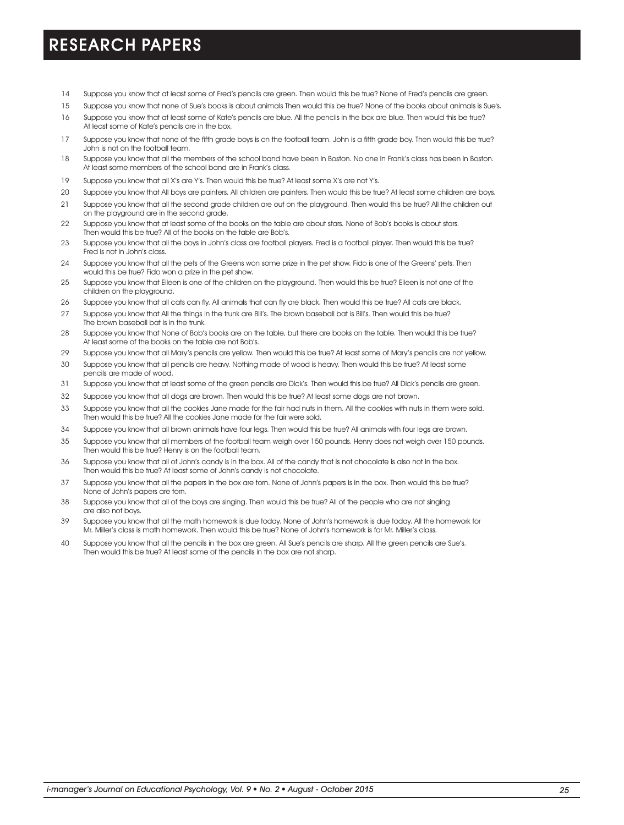- 14 Suppose you know that at least some of Fred's pencils are green. Then would this be true? None of Fred's pencils are green.
- 15 Suppose you know that none of Sue's books is about animals Then would this be true? None of the books about animals is Sue's.
- 16 Suppose you know that at least some of Kate's pencils are blue. All the pencils in the box are blue. Then would this be true? At least some of Kate's pencils are in the box.
- 17 Suppose you know that none of the fifth grade boys is on the football team. John is a fifth grade boy. Then would this be true? John is not on the football team.
- 18 Suppose you know that all the members of the school band have been in Boston. No one in Frank's class has been in Boston. At least some members of the school band are in Frank's class.
- 19 Suppose you know that all X's are Y's. Then would this be true? At least some X's are not Y's.
- 20 Suppose you know that All boys are painters. All children are painters. Then would this be true? At least some children are boys.
- 21 Suppose you know that all the second grade children are out on the playground. Then would this be true? All the children out on the playground are in the second grade.
- 22 Suppose you know that at least some of the books on the table are about stars. None of Bob's books is about stars. Then would this be true? All of the books on the table are Bob's.
- 23 Suppose you know that all the boys in John's class are football players. Fred is a football player. Then would this be true? Fred is not in John's class.
- 24 Suppose you know that all the pets of the Greens won some prize in the pet show. Fido is one of the Greens' pets. Then would this be true? Fido won a prize in the pet show.
- 25 Suppose you know that Eileen is one of the children on the playground. Then would this be true? Eileen is not one of the children on the playground.
- 26 Suppose you know that all cats can fly. All animals that can fly are black. Then would this be true? All cats are black.
- 27 Suppose you know that All the things in the trunk are Bill's. The brown baseball bat is Bill's. Then would this be true? The brown baseball bat is in the trunk.
- 28 Suppose you know that None of Bob's books are on the table, but there are books on the table. Then would this be true? At least some of the books on the table are not Bob's.
- 29 Suppose you know that all Mary's pencils are yellow. Then would this be true? At least some of Mary's pencils are not yellow.
- 30 Suppose you know that all pencils are heavy. Nothing made of wood is heavy. Then would this be true? At least some pencils are made of wood.
- 31 Suppose you know that at least some of the green pencils are Dick's. Then would this be true? All Dick's pencils are green.
- 32 Suppose you know that all dogs are brown. Then would this be true? At least some dogs are not brown.
- 33 Suppose you know that all the cookies Jane made for the fair had nuts in them. All the cookies with nuts in them were sold. Then would this be true? All the cookies Jane made for the fair were sold.
- 34 Suppose you know that all brown animals have four legs. Then would this be true? All animals with four legs are brown.
- 35 Suppose you know that all members of the football team weigh over 150 pounds. Henry does not weigh over 150 pounds. Then would this be true? Henry is on the football team.
- 36 Suppose you know that all of John's candy is in the box. All of the candy that is not chocolate is also not in the box. Then would this be true? At least some of John's candy is not chocolate.
- 37 Suppose you know that all the papers in the box are torn. None of John's papers is in the box. Then would this be true? None of John's papers are torn.
- 38 Suppose you know that all of the boys are singing. Then would this be true? All of the people who are not singing are also not boys.
- 39 Suppose you know that all the math homework is due today. None of John's homework is due today. All the homework for Mr. Miller's class is math homework. Then would this be true? None of John's homework is for Mr. Miller's class.
- 40 Suppose you know that all the pencils in the box are green. All Sue's pencils are sharp. All the green pencils are Sue's. Then would this be true? At least some of the pencils in the box are not sharp.